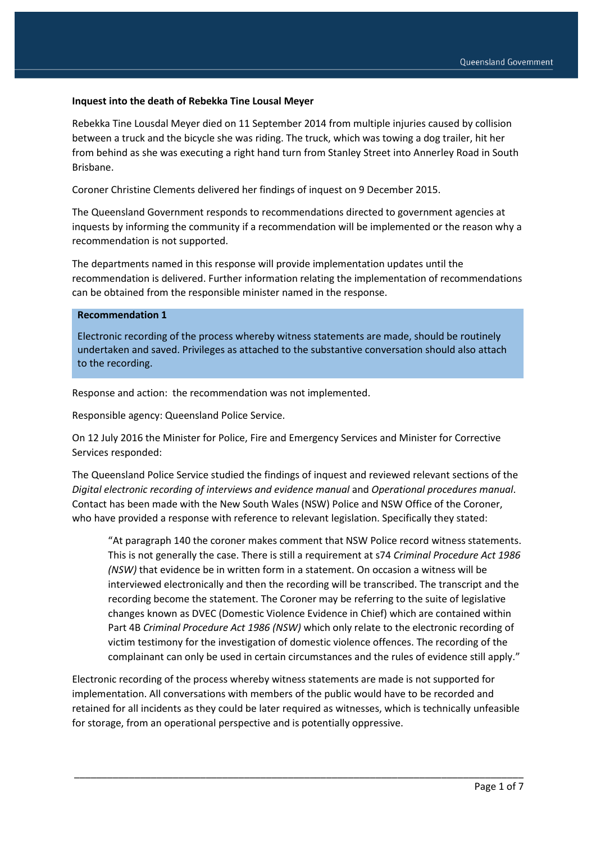#### **Inquest into the death of Rebekka Tine Lousal Meyer**

Rebekka Tine Lousdal Meyer died on 11 September 2014 from multiple injuries caused by collision between a truck and the bicycle she was riding. The truck, which was towing a dog trailer, hit her from behind as she was executing a right hand turn from Stanley Street into Annerley Road in South Brisbane.

Coroner Christine Clements delivered her findings of inquest on 9 December 2015.

The Queensland Government responds to recommendations directed to government agencies at inquests by informing the community if a recommendation will be implemented or the reason why a recommendation is not supported.

The departments named in this response will provide implementation updates until the recommendation is delivered. Further information relating the implementation of recommendations can be obtained from the responsible minister named in the response.

## **Recommendation 1**

Electronic recording of the process whereby witness statements are made, should be routinely undertaken and saved. Privileges as attached to the substantive conversation should also attach to the recording.

Response and action: the recommendation was not implemented.

Responsible agency: Queensland Police Service.

On 12 July 2016 the Minister for Police, Fire and Emergency Services and Minister for Corrective Services responded:

The Queensland Police Service studied the findings of inquest and reviewed relevant sections of the *Digital electronic recording of interviews and evidence manual* and *Operational procedures manual*. Contact has been made with the New South Wales (NSW) Police and NSW Office of the Coroner, who have provided a response with reference to relevant legislation. Specifically they stated:

"At paragraph 140 the coroner makes comment that NSW Police record witness statements. This is not generally the case. There is still a requirement at s74 *Criminal Procedure Act 1986 (NSW)* that evidence be in written form in a statement. On occasion a witness will be interviewed electronically and then the recording will be transcribed. The transcript and the recording become the statement. The Coroner may be referring to the suite of legislative changes known as DVEC (Domestic Violence Evidence in Chief) which are contained within Part 4B *Criminal Procedure Act 1986 (NSW)* which only relate to the electronic recording of victim testimony for the investigation of domestic violence offences. The recording of the complainant can only be used in certain circumstances and the rules of evidence still apply."

Electronic recording of the process whereby witness statements are made is not supported for implementation. All conversations with members of the public would have to be recorded and retained for all incidents as they could be later required as witnesses, which is technically unfeasible for storage, from an operational perspective and is potentially oppressive.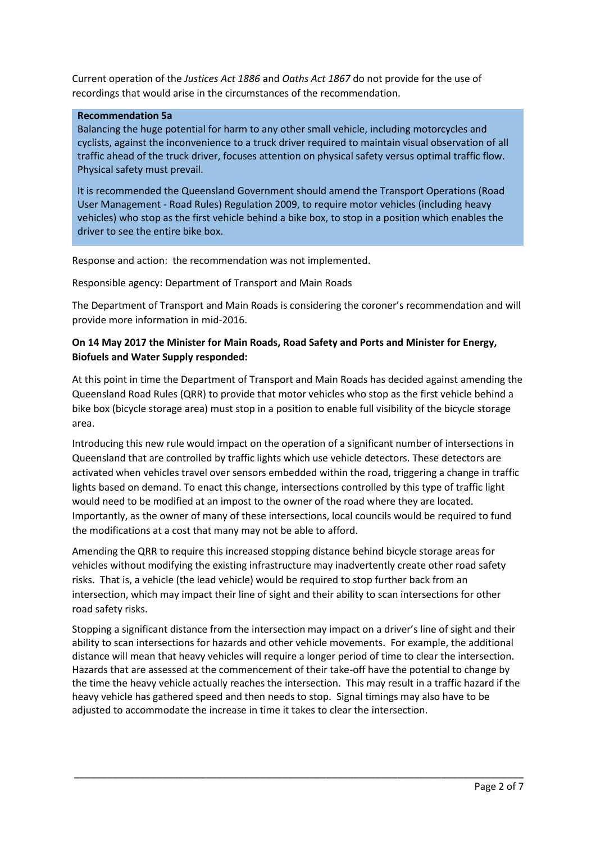Current operation of the *Justices Act 1886* and *Oaths Act 1867* do not provide for the use of recordings that would arise in the circumstances of the recommendation.

## **Recommendation 5a**

Balancing the huge potential for harm to any other small vehicle, including motorcycles and cyclists, against the inconvenience to a truck driver required to maintain visual observation of all traffic ahead of the truck driver, focuses attention on physical safety versus optimal traffic flow. Physical safety must prevail.

It is recommended the Queensland Government should amend the Transport Operations (Road User Management - Road Rules) Regulation 2009, to require motor vehicles (including heavy vehicles) who stop as the first vehicle behind a bike box, to stop in a position which enables the driver to see the entire bike box.

Response and action: the recommendation was not implemented.

Responsible agency: Department of Transport and Main Roads

The Department of Transport and Main Roads is considering the coroner's recommendation and will provide more information in mid-2016.

# **On 14 May 2017 the Minister for Main Roads, Road Safety and Ports and Minister for Energy, Biofuels and Water Supply responded:**

At this point in time the Department of Transport and Main Roads has decided against amending the Queensland Road Rules (QRR) to provide that motor vehicles who stop as the first vehicle behind a bike box (bicycle storage area) must stop in a position to enable full visibility of the bicycle storage area.

Introducing this new rule would impact on the operation of a significant number of intersections in Queensland that are controlled by traffic lights which use vehicle detectors. These detectors are activated when vehicles travel over sensors embedded within the road, triggering a change in traffic lights based on demand. To enact this change, intersections controlled by this type of traffic light would need to be modified at an impost to the owner of the road where they are located. Importantly, as the owner of many of these intersections, local councils would be required to fund the modifications at a cost that many may not be able to afford.

Amending the QRR to require this increased stopping distance behind bicycle storage areas for vehicles without modifying the existing infrastructure may inadvertently create other road safety risks. That is, a vehicle (the lead vehicle) would be required to stop further back from an intersection, which may impact their line of sight and their ability to scan intersections for other road safety risks.

Stopping a significant distance from the intersection may impact on a driver's line of sight and their ability to scan intersections for hazards and other vehicle movements. For example, the additional distance will mean that heavy vehicles will require a longer period of time to clear the intersection. Hazards that are assessed at the commencement of their take-off have the potential to change by the time the heavy vehicle actually reaches the intersection. This may result in a traffic hazard if the heavy vehicle has gathered speed and then needs to stop. Signal timings may also have to be adjusted to accommodate the increase in time it takes to clear the intersection.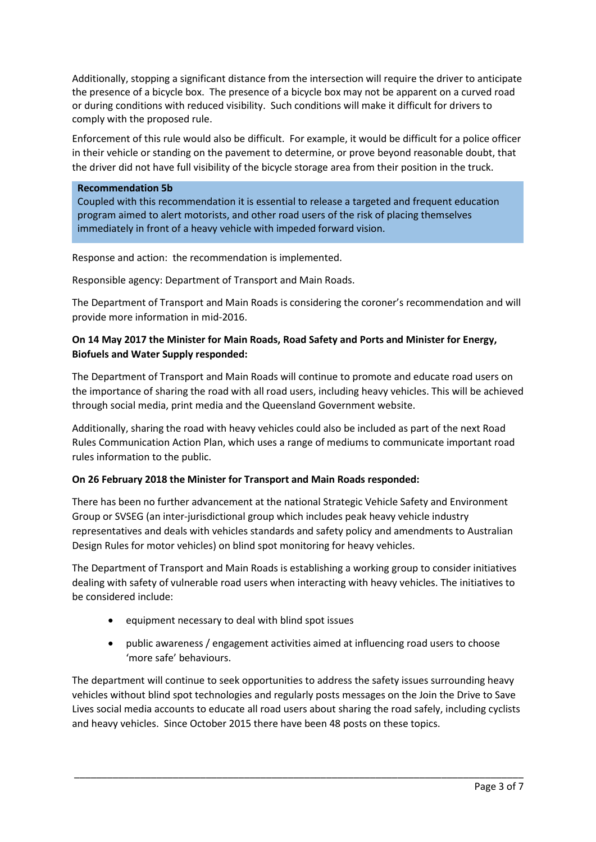Additionally, stopping a significant distance from the intersection will require the driver to anticipate the presence of a bicycle box. The presence of a bicycle box may not be apparent on a curved road or during conditions with reduced visibility. Such conditions will make it difficult for drivers to comply with the proposed rule.

Enforcement of this rule would also be difficult. For example, it would be difficult for a police officer in their vehicle or standing on the pavement to determine, or prove beyond reasonable doubt, that the driver did not have full visibility of the bicycle storage area from their position in the truck.

#### **Recommendation 5b**

Coupled with this recommendation it is essential to release a targeted and frequent education program aimed to alert motorists, and other road users of the risk of placing themselves immediately in front of a heavy vehicle with impeded forward vision.

Response and action: the recommendation is implemented.

Responsible agency: Department of Transport and Main Roads.

The Department of Transport and Main Roads is considering the coroner's recommendation and will provide more information in mid-2016.

# **On 14 May 2017 the Minister for Main Roads, Road Safety and Ports and Minister for Energy, Biofuels and Water Supply responded:**

The Department of Transport and Main Roads will continue to promote and educate road users on the importance of sharing the road with all road users, including heavy vehicles. This will be achieved through social media, print media and the Queensland Government website.

Additionally, sharing the road with heavy vehicles could also be included as part of the next Road Rules Communication Action Plan, which uses a range of mediums to communicate important road rules information to the public.

# **On 26 February 2018 the Minister for Transport and Main Roads responded:**

There has been no further advancement at the national Strategic Vehicle Safety and Environment Group or SVSEG (an inter-jurisdictional group which includes peak heavy vehicle industry representatives and deals with vehicles standards and safety policy and amendments to Australian Design Rules for motor vehicles) on blind spot monitoring for heavy vehicles.

The Department of Transport and Main Roads is establishing a working group to consider initiatives dealing with safety of vulnerable road users when interacting with heavy vehicles. The initiatives to be considered include:

- equipment necessary to deal with blind spot issues
- public awareness / engagement activities aimed at influencing road users to choose 'more safe' behaviours.

The department will continue to seek opportunities to address the safety issues surrounding heavy vehicles without blind spot technologies and regularly posts messages on the Join the Drive to Save Lives social media accounts to educate all road users about sharing the road safely, including cyclists and heavy vehicles. Since October 2015 there have been 48 posts on these topics.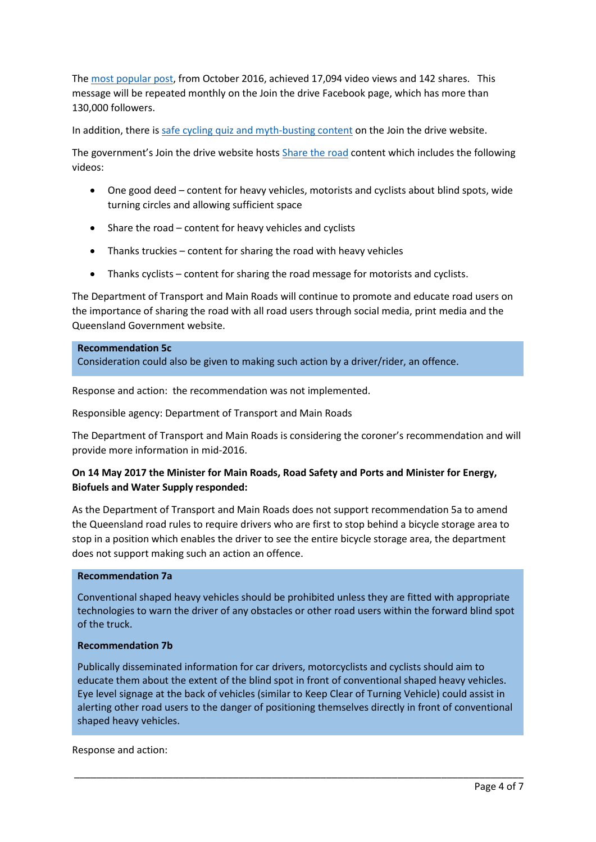The [most popular post,](https://www.facebook.com/JoinTheDrive/videos/1198961040145345/) from October 2016, achieved 17,094 video views and 142 shares. This message will be repeated monthly on the Join the drive Facebook page, which has more than 130,000 followers.

In addition, there i[s safe cycling quiz and myth-busting content](https://jointhedrive.qld.gov.au/bicycle-riders/stay-wider-of-the-rider) on the Join the drive website.

The government's Join the drive website hosts [Share the road](https://jointhedrive.qld.gov.au/all-drivers/share-the-road) content which includes the following videos:

- One good deed content for heavy vehicles, motorists and cyclists about blind spots, wide turning circles and allowing sufficient space
- Share the road content for heavy vehicles and cyclists
- Thanks truckies content for sharing the road with heavy vehicles
- Thanks cyclists content for sharing the road message for motorists and cyclists.

The Department of Transport and Main Roads will continue to promote and educate road users on the importance of sharing the road with all road users through social media, print media and the Queensland Government website.

#### **Recommendation 5c**

Consideration could also be given to making such action by a driver/rider, an offence.

Response and action: the recommendation was not implemented.

Responsible agency: Department of Transport and Main Roads

The Department of Transport and Main Roads is considering the coroner's recommendation and will provide more information in mid-2016.

## **On 14 May 2017 the Minister for Main Roads, Road Safety and Ports and Minister for Energy, Biofuels and Water Supply responded:**

As the Department of Transport and Main Roads does not support recommendation 5a to amend the Queensland road rules to require drivers who are first to stop behind a bicycle storage area to stop in a position which enables the driver to see the entire bicycle storage area, the department does not support making such an action an offence.

## **Recommendation 7a**

Conventional shaped heavy vehicles should be prohibited unless they are fitted with appropriate technologies to warn the driver of any obstacles or other road users within the forward blind spot of the truck.

## **Recommendation 7b**

Publically disseminated information for car drivers, motorcyclists and cyclists should aim to educate them about the extent of the blind spot in front of conventional shaped heavy vehicles. Eye level signage at the back of vehicles (similar to Keep Clear of Turning Vehicle) could assist in alerting other road users to the danger of positioning themselves directly in front of conventional shaped heavy vehicles.

\_\_\_\_\_\_\_\_\_\_\_\_\_\_\_\_\_\_\_\_\_\_\_\_\_\_\_\_\_\_\_\_\_\_\_\_\_\_\_\_\_\_\_\_\_\_\_\_\_\_\_\_\_\_\_\_\_\_\_\_\_\_\_\_\_\_\_\_\_\_\_\_\_\_\_\_\_\_\_\_\_\_

Response and action: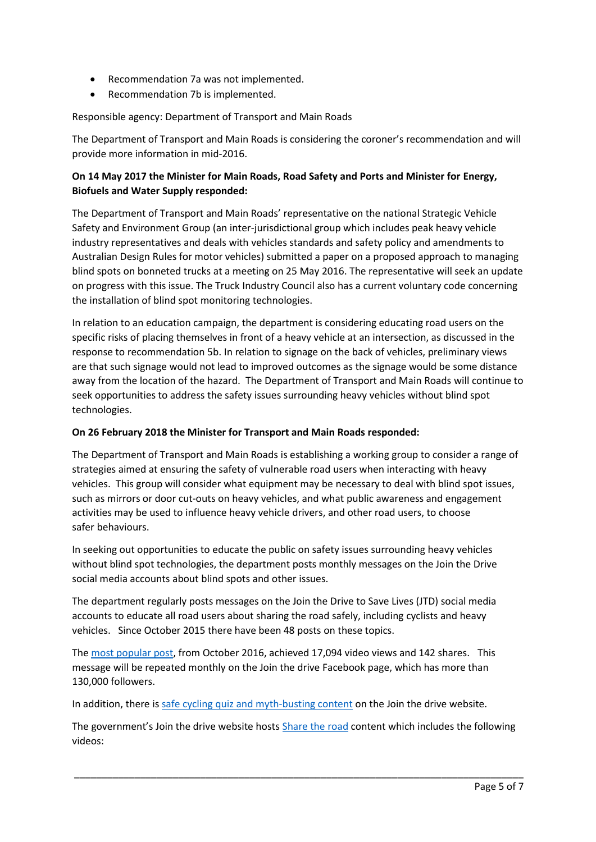- Recommendation 7a was not implemented.
- Recommendation 7b is implemented.

## Responsible agency: Department of Transport and Main Roads

The Department of Transport and Main Roads is considering the coroner's recommendation and will provide more information in mid-2016.

# **On 14 May 2017 the Minister for Main Roads, Road Safety and Ports and Minister for Energy, Biofuels and Water Supply responded:**

The Department of Transport and Main Roads' representative on the national Strategic Vehicle Safety and Environment Group (an inter-jurisdictional group which includes peak heavy vehicle industry representatives and deals with vehicles standards and safety policy and amendments to Australian Design Rules for motor vehicles) submitted a paper on a proposed approach to managing blind spots on bonneted trucks at a meeting on 25 May 2016. The representative will seek an update on progress with this issue. The Truck Industry Council also has a current voluntary code concerning the installation of blind spot monitoring technologies.

In relation to an education campaign, the department is considering educating road users on the specific risks of placing themselves in front of a heavy vehicle at an intersection, as discussed in the response to recommendation 5b. In relation to signage on the back of vehicles, preliminary views are that such signage would not lead to improved outcomes as the signage would be some distance away from the location of the hazard. The Department of Transport and Main Roads will continue to seek opportunities to address the safety issues surrounding heavy vehicles without blind spot technologies.

# **On 26 February 2018 the Minister for Transport and Main Roads responded:**

The Department of Transport and Main Roads is establishing a working group to consider a range of strategies aimed at ensuring the safety of vulnerable road users when interacting with heavy vehicles. This group will consider what equipment may be necessary to deal with blind spot issues, such as mirrors or door cut-outs on heavy vehicles, and what public awareness and engagement activities may be used to influence heavy vehicle drivers, and other road users, to choose safer behaviours.

In seeking out opportunities to educate the public on safety issues surrounding heavy vehicles without blind spot technologies, the department posts monthly messages on the Join the Drive social media accounts about blind spots and other issues.

The department regularly posts messages on the Join the Drive to Save Lives (JTD) social media accounts to educate all road users about sharing the road safely, including cyclists and heavy vehicles. Since October 2015 there have been 48 posts on these topics.

The [most popular post,](https://www.facebook.com/JoinTheDrive/videos/1198961040145345/) from October 2016, achieved 17,094 video views and 142 shares. This message will be repeated monthly on the Join the drive Facebook page, which has more than 130,000 followers.

In addition, there i[s safe cycling quiz and myth-busting content](https://jointhedrive.qld.gov.au/bicycle-riders/stay-wider-of-the-rider) on the Join the drive website.

The government's Join the drive website hosts [Share the road](https://jointhedrive.qld.gov.au/all-drivers/share-the-road) content which includes the following videos: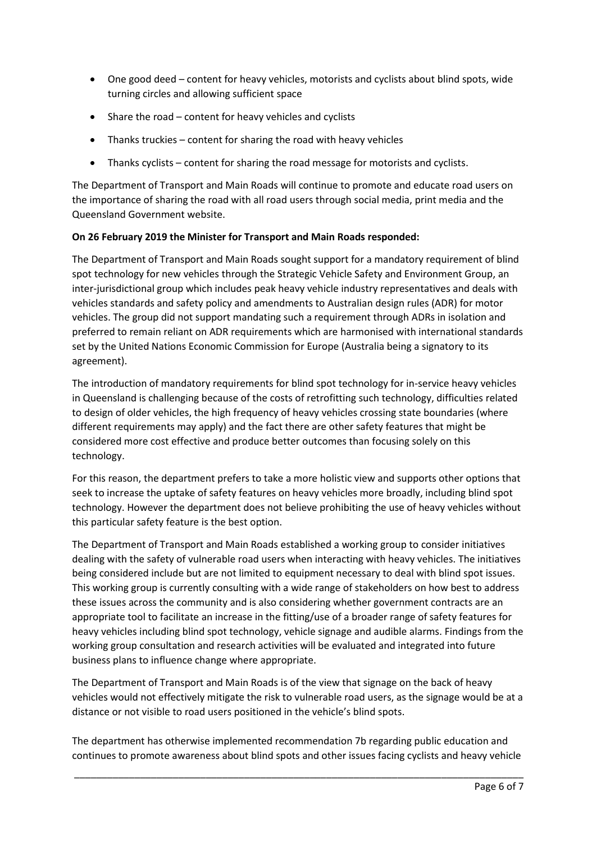- One good deed content for heavy vehicles, motorists and cyclists about blind spots, wide turning circles and allowing sufficient space
- Share the road content for heavy vehicles and cyclists
- Thanks truckies content for sharing the road with heavy vehicles
- Thanks cyclists content for sharing the road message for motorists and cyclists.

The Department of Transport and Main Roads will continue to promote and educate road users on the importance of sharing the road with all road users through social media, print media and the Queensland Government website.

# **On 26 February 2019 the Minister for Transport and Main Roads responded:**

The Department of Transport and Main Roads sought support for a mandatory requirement of blind spot technology for new vehicles through the Strategic Vehicle Safety and Environment Group, an inter-jurisdictional group which includes peak heavy vehicle industry representatives and deals with vehicles standards and safety policy and amendments to Australian design rules (ADR) for motor vehicles. The group did not support mandating such a requirement through ADRs in isolation and preferred to remain reliant on ADR requirements which are harmonised with international standards set by the United Nations Economic Commission for Europe (Australia being a signatory to its agreement).

The introduction of mandatory requirements for blind spot technology for in-service heavy vehicles in Queensland is challenging because of the costs of retrofitting such technology, difficulties related to design of older vehicles, the high frequency of heavy vehicles crossing state boundaries (where different requirements may apply) and the fact there are other safety features that might be considered more cost effective and produce better outcomes than focusing solely on this technology.

For this reason, the department prefers to take a more holistic view and supports other options that seek to increase the uptake of safety features on heavy vehicles more broadly, including blind spot technology. However the department does not believe prohibiting the use of heavy vehicles without this particular safety feature is the best option.

The Department of Transport and Main Roads established a working group to consider initiatives dealing with the safety of vulnerable road users when interacting with heavy vehicles. The initiatives being considered include but are not limited to equipment necessary to deal with blind spot issues. This working group is currently consulting with a wide range of stakeholders on how best to address these issues across the community and is also considering whether government contracts are an appropriate tool to facilitate an increase in the fitting/use of a broader range of safety features for heavy vehicles including blind spot technology, vehicle signage and audible alarms. Findings from the working group consultation and research activities will be evaluated and integrated into future business plans to influence change where appropriate.

The Department of Transport and Main Roads is of the view that signage on the back of heavy vehicles would not effectively mitigate the risk to vulnerable road users, as the signage would be at a distance or not visible to road users positioned in the vehicle's blind spots.

The department has otherwise implemented recommendation 7b regarding public education and continues to promote awareness about blind spots and other issues facing cyclists and heavy vehicle